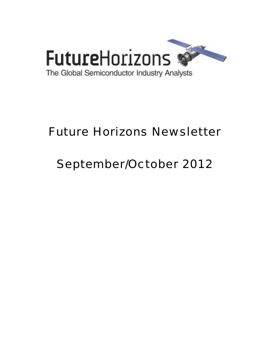

## Future Horizons Newsletter

# September/October 2012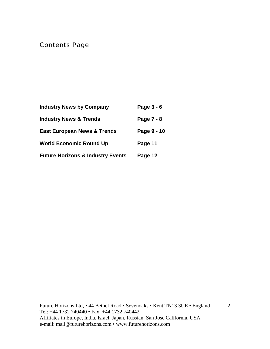### Contents Page

| <b>Industry News by Company</b>              | Page 3 - 6  |
|----------------------------------------------|-------------|
| <b>Industry News &amp; Trends</b>            | Page 7 - 8  |
| <b>East European News &amp; Trends</b>       | Page 9 - 10 |
| <b>World Economic Round Up</b>               | Page 11     |
| <b>Future Horizons &amp; Industry Events</b> | Page 12     |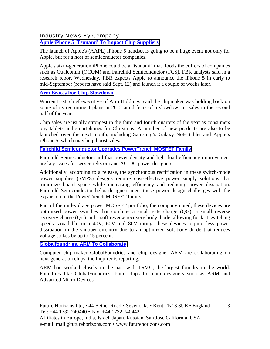#### Industry News By Company **[Apple iPhone 5 'Tsunami' To Impact Chip Suppliers](http://news.investors.com/technology/081512-622275-apple-iphone-5-to-benefit-host-of-suppliers.htm)**

The launch of Apple's (AAPL) iPhone 5 handset is going to be a huge event not only for Apple, but for a host of semiconductor companies.

Apple's sixth-generation iPhone could be a "tsunami" that floods the coffers of companies such as Qualcomm (QCOM) and Fairchild Semiconductor (FCS), FBR analysts said in a research report Wednesday. FBR expects Apple to announce the iPhone 5 in early to mid-September (reports have said Sept. 12) and launch it a couple of weeks later.

#### **[Arm Braces For Chip Slowdown](http://www.ft.com/cms/s/0/b6482f3a-f1ef-11e1-bba3-00144feabdc0.html#axzz25ODd9gS4)**

Warren East, chief executive of Arm Holdings, said the chipmaker was holding back on some of its recruitment plans in 2012 amid fears of a slowdown in sales in the second half of the year.

Chip sales are usually strongest in the third and fourth quarters of the year as consumers buy tablets and smartphones for Christmas. A number of new products are also to be launched over the next month, including Samsung's Galaxy Note tablet and Apple's iPhone 5, which may help boost sales.

#### **[Fairchild Semiconductor Upgrades PowerTrench MOSFET Family](http://www.electroiq.com/semiconductors/2012/08/20/fairchild-semiconductor-upgrades-powertrench-mosfet-family.html)**

Fairchild Semiconductor said that power density and light-load efficiency improvement are key issues for server, telecom and AC-DC power designers.

Additionally, according to a release, the synchronous rectification in these switch-mode power supplies (SMPS) designs require cost-effective power supply solutions that minimize board space while increasing efficiency and reducing power dissipation. Fairchild Semiconductor helps designers meet these power design challenges with the expansion of the PowerTrench MOSFET family.

Part of the mid-voltage power MOSFET portfolio, the company noted, these devices are optimized power switches that combine a small gate charge (QG), a small reverse recovery charge (Qrr) and a soft-reverse recovery body diode, allowing for fast switching speeds. Available in a 40V, 60V and 80V rating, these devices require less power dissipation in the snubber circuitry due to an optimized soft-body diode that reduces voltage spikes by up to 15 percent.

**[Globalfoundries, ARM To Collaborate](http://www.bizjournals.com/albany/morning_call/2012/08/globalfoundries-arm-to-collaborate.html)**

Computer chip-maker GlobalFoundries and chip designer ARM are collaborating on next-generation chips, the Inquirer is reporting.

ARM had worked closely in the past with TSMC, the largest foundry in the world. Foundries like GlobalFoundries, build chips for chip designers such as ARM and Advanced Micro Devices.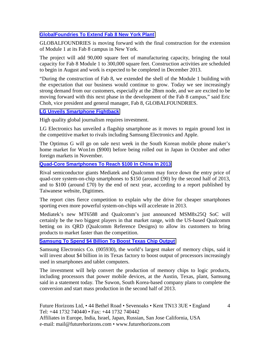#### **[GlobalFoundries To Extend Fab 8 New York Plant](http://www.siliconsemiconductor.net/article/75716-GLOBALFOUNDRIES-To-Extend-Fab-8-New-York-Plant.php)**

GLOBALFOUNDRIES is moving forward with the final construction for the extension of Module 1 at its Fab 8 campus in New York.

The project will add 90,000 square feet of manufacturing capacity, bringing the total capacity for Fab 8 Module 1 to 300,000 square feet. Construction activities are scheduled to begin in August and work is expected to be completed in December 2013.

"During the construction of Fab 8, we extended the shell of the Module 1 building with the expectation that our business would continue to grow. Today we see increasingly strong demand from our customers, especially at the 28nm node, and we are excited to be moving forward with this next phase in the development of the Fab 8 campus," said Eric Choh, vice president and general manager, Fab 8, GLOBALFOUNDRIES.

#### **[LG Unveils Smartphone Fightback](http://www.ft.com/cms/s/0/6cdcda8c-0160-11e2-81ba-00144feabdc0.html#axzz26o0zPgXn)**

High quality global journalism requires investment.

LG Electronics has unveiled a flagship smartphone as it moves to regain ground lost in the competitive market to rivals including Samsung Electronics and Apple.

The Optimus G will go on sale next week in the South Korean mobile phone maker's home market for Won1m (\$900) before being rolled out in Japan in October and other foreign markets in November.

#### **[Quad-Core Smartphones To Reach \\$100 In China In 2013](http://www.itproportal.com/2012/10/01/quad-core-smartphones-to-reach-100-in-china-in-2013/)**

Rival semiconductor giants Mediatek and Qualcomm may force down the entry price of quad-core system-on-chip smartphones to \$150 (around £90) by the second half of 2013, and to \$100 (around £70) by the end of next year, according to a report published by Taiwanese website, Digitimes.

The report cites fierce competition to explain why the drive for cheaper smartphones sporting even more powerful system-on-chips will accelerate in 2013.

Mediatek's new MT6588 and Qualcomm's just announced MSM8x25Q SoC will certainly be the two biggest players in that market range, with the US-based Qualcomm betting on its QRD (Qualcomm Reference Designs) to allow its customers to bring products to market faster than the competition.

#### **[Samsung To Spend \\$4 Billion To Boost Texas Chip Output](http://www.bloomberg.com/news/2012-08-21/samsung-to-spend-4-billion-to-boost-texas-chip-output.html)**

Samsung Electronics Co. (005930), the world's largest maker of memory chips, said it will invest about \$4 billion in its Texas factory to boost output of processors increasingly used in smartphones and tablet computers.

The investment will help convert the production of memory chips to logic products, including processors that power mobile devices, at the Austin, Texas, plant, Samsung said in a statement today. The Suwon, South Korea-based company plans to complete the conversion and start mass production in the second half of 2013.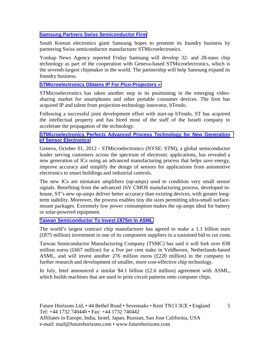#### **[Samsung Partners Swiss Semiconductor Firm](http://www.zdnet.com/samsung-partners-swiss-semiconductor-firm-7000004936/)**

South Korean electronics giant Samsung hopes to promote its foundry business by partnering Swiss semiconductor manufacturer STMicroelectronics.

Yonhap News Agency reported Friday Samsung will develop 32- and 28-nano chip technology as part of the cooperation with Geneva-based STMicroelectronics, which is the seventh-largest chipmaker in the world. The partnership will help Samsung expand its foundry business.

#### **[STMicroelectronics Obtains IP For Pico-Projectors »](http://www.siliconsemiconductor.net/article/75717-STMicroelectronics-Obtains-IP-For-Pico-Projectors.php)**

STMicroelectronics has taken another step in its positioning in the emerging videosharing market for smartphones and other portable consumer devices. The firm has acquired IP and talent from projection-technology innovator, bTendo.

Following a successful joint development effort with start-up bTendo, ST has acquired the intellectual property and has hired most of the staff of the Israeli company to accelerate the propagation of the technology.

#### **[STMicroelectronics Perfects Advanced Process Technology for New Generation](http://www.st.com/internet/com/press_release/p3335.jsp)  [of Sensor Electronics](http://www.st.com/internet/com/press_release/p3335.jsp)**

Geneva, October 01, 2012 - STMicroelectronics (NYSE: STM), a global semiconductor leader serving customers across the spectrum of electronic applications, has revealed a new generation of ICs using an advanced manufacturing process that helps save energy, improve accuracy and simplify the design of sensors for applications from automotive electronics to smart buildings and industrial controls.

The new ICs are miniature amplifiers (op-amps) used to condition very small sensor signals. Benefiting from the advanced 16V CMOS manufacturing process, developed inhouse, ST's new op-amps deliver better accuracy than existing devices, with greater longterm stability. Moreover, the process enables tiny die sizes permitting ultra-small surfacemount packages. Extremely low power consumption makes the op-amps ideal for battery or solar-powered equipment.

#### **[Taiwan Semiconductor To Invest £875m In ASML](http://www.itproportal.com/2012/08/06/taiwan-semiconductor-invest-875m-asml/)**

The world's largest contract chip manufacturer has agreed to make a 1.1 billion euro (£875 million) investment in one of its component suppliers in a sustained bid to cut costs.

Taiwan Semiconductor Manufacturing Company (TSMC) has said it will fork over 838 million euros (£667 million) for a five per cent stake in Veldhoven, Netherlands-based ASML, and will invest another 276 million euros (£220 million) in the company to further research and development of smaller, more cost-effective chip technology.

In July, Intel announced a similar \$4.1 billion (£2.6 million) agreement with ASML, which builds machines that are used to print circuit patterns onto computer chips.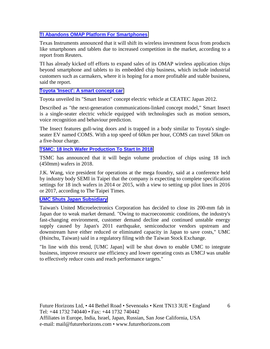#### **[TI Abandons OMAP Platform For Smartphones](http://www.eetindia.co.in/ART_8800675436_1800012_NT_76acd8b5.HTM?click_from=8800098649,9950114561,2012-09-27,EEIOL,ARTICLE_ALERT)**

Texas Instruments announced that it will shift its wireless investment focus from products like smartphones and tablets due to increased competition in the market, according to a report from Reuters.

TI has already kicked off efforts to expand sales of its OMAP wireless application chips beyond smartphone and tablets to its embedded chip business, which include industrial customers such as carmakers, where it is hoping for a more profitable and stable business, said the report.

#### **[Toyota 'Insect': A smart concept car](http://www.eetindia.co.in/ART_8800675758_1800001_NT_239e17d8.HTM?click_from=8800098813,9950114561,2012-10-03,EEIOL,ARTICLE_ALERT)**

Toyota unveiled its "Smart Insect" concept electric vehicle at CEATEC Japan 2012.

Described as "the next-generation communications-linked concept model," Smart Insect is a single-seater electric vehicle equipped with technologies such as motion sensors, voice recognition and behaviour prediction.

The Insect features gull-wing doors and is trapped in a body similar to Toyota's singleseater EV named COMS. With a top speed of 60km per hour, COMS can travel 50km on a five-hour charge.

#### **[TSMC: 18 Inch Wafer Production To Start In 2018](http://news.techeye.net/chips/tsmc-18-inch-wafer-production-to-start-in-2018)**

TSMC has announced that it will begin volume production of chips using 18 inch (450mm) wafers in 2018.

J.K. Wang, vice president for operations at the mega foundry, said at a conference held by industry body SEMI in Taipei that the company is expecting to complete specification settings for 18 inch wafers in 2014 or 2015, with a view to setting up pilot lines in 2016 or 2017, according to The Taipei Times.

#### **[UMC Shuts Japan Subsidiary](http://www.eetindia.co.in/ART_8800673416_1800007_NT_329df986.HTM?click_from=8800097694,9950114561,2012-08-24,EEIOL,ARTICLE_ALERT)**

Taiwan's United Microelectronics Corporation has decided to close its 200-mm fab in Japan due to weak market demand. "Owing to macroeconomic conditions, the industry's fast-changing environment, customer demand decline and continued unstable energy supply caused by Japan's 2011 earthquake, semiconductor vendors upstream and downstream have either reduced or eliminated capacity in Japan to save costs," UMC (Hsinchu, Taiwan) said in a regulatory filing with the Taiwan Stock Exchange.

"In line with this trend, [UMC Japan] will be shut down to enable UMC to integrate business, improve resource use efficiency and lower operating costs as UMCJ was unable to effectively reduce costs and reach performance targets."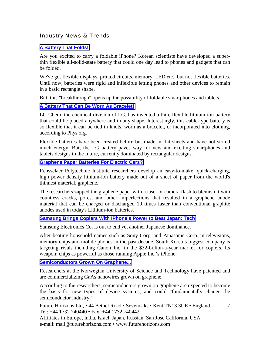Industry News & Trends

#### **[A Battery That Folds!](http://www.eetindia.co.in/ART_8800672256_1800008_NT_0c978568.HTM?click_from=8800097194,9950114561,2012-08-08,EEIOL,ARTICLE_ALERT)**

Are you excited to carry a foldable iPhone? Korean scientists have developed a superthin flexible all-solid-state battery that could one day lead to phones and gadgets that can be folded.

We've got flexible displays, printed circuits, memory, LED etc., but not flexible batteries. Until now, batteries were rigid and inflexible letting phones and other devices to remain in a basic rectangle shape.

But, this "breakthrough" opens up the possibility of foldable smartphones and tablets.

#### **[A Battery That Can Be Worn As Bracelet!](http://www.eetindia.co.in/ART_8800674063_1800008_NT_f69e5929.HTM?click_from=8800097996,9950114561,2012-09-04,EEIOL,ARTICLE_ALERT)**

LG Chem, the chemical division of LG, has invented a thin, flexible lithium-ion battery that could be placed anywhere and in any shape. Interestingly, this cable-type battery is so flexible that it can be tied in knots, worn as a bracelet, or incorporated into clothing, according to Phys.org.

Flexible batteries have been created before but made in flat sheets and have not stored much energy. But, the LG battery paves way for new and exciting smartphones and tablets designs in the future, currently dominated by rectangular designs.

**[Graphene Paper Batteries For Electric Cars?](http://www.eetindia.co.in/ART_8800673225_1800008_NT_01ca23ca.HTM?click_from=8800097637,9950114561,2012-08-22,EEIOL,ARTICLE_ALERT)**

Rensselaer Polytechnic Institute researchers develop an easy-to-make, quick-charging, high power density lithium-ion battery made out of a sheet of paper from the world's thinnest material, graphene.

The researchers zapped the graphene paper with a laser or camera flash to blemish it with countless cracks, pores, and other imperfections that resulted in a graphene anode material that can be charged or discharged 10 times faster than conventional graphite anodes used in today's Lithium-ion batteries.

#### **[Samsung Brings Copiers With IPhone's Power to Beat Japan: Tech](http://www.sfgate.com/business/bloomberg/article/Samsung-Brings-Copiers-With-IPhone-s-Power-to-3826961.php)**

Samsung Electronics Co. is out to end yet another Japanese dominance.

After beating household names such as Sony Corp. and Panasonic Corp. in televisions, memory chips and mobile phones in the past decade, South Korea's biggest company is targeting rivals including Canon Inc. in the \$32-billion-a-year market for copiers. Its weapon: chips as powerful as those running Apple Inc.'s iPhone.

#### **[Semiconductors Grown On Graphene...](http://www.eetindia.co.in/ART_8800674447_1800007_NT_bd4d7263.HTM?click_from=8800098165,9950114561,2012-09-11,EEIOL,ARTICLE_ALERT)**

Researchers at the Norwegian University of Science and Technology have patented and are commercializing GaAs nanowires grown on graphene.

According to the researchers, semiconductors grown on graphene are expected to become the basis for new types of device systems, and could "fundamentally change the semiconductor industry."

Future Horizons Ltd, • 44 Bethel Road • Sevenoaks • Kent TN13 3UE • England Tel: +44 1732 740440 • Fax: +44 1732 740442

Affiliates in Europe, India, Israel, Japan, Russian, San Jose California, USA e-mail: mail@futurehorizons.com • www.futurehorizons.com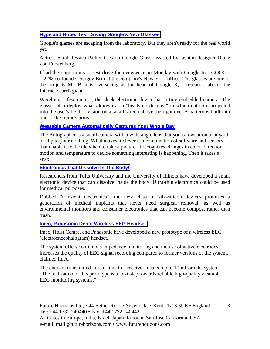#### **[Hype and Hope: Test Driving Google's New Glasses](http://online.wsj.com/article/SB10000872396390443779404577643981045121516.html?mod=djemTECH_t)**

Google's glasses are escaping from the laboratory. But they aren't ready for the real world yet.

Actress Sarah Jessica Parker tries on Google Glass, assisted by fashion designer Diane von Furstenberg.

I had the opportunity to test-drive the eyewwear on Monday with Google Inc. GOOG - 1.22% co-founder Sergey Brin at the company's New York office. The glasses are one of the projects Mr. Brin is overseeing as the head of Google X, a research lab for the Internet search giant.

Weighing a few ounces, the sleek electronic device has a tiny embedded camera. The glasses also deploy what's known as a "heads-up display," in which data are projected into the user's field of vision on a small screen above the right eye. A battery is built into one of the frame's arms

#### **[Wearable Camera Automatically Captures Your Whole Day](http://blogs.wsj.com/tech-europe/2012/09/25/wearable-camera-automatically-captures-your-whole-day/?mod=djemTechEurope_t=djemTECH)**

The Autographer is a small camera with a wide angle lens that you can wear on a lanyard or clip to your clothing. What makes it clever is a combination of software and sensors that enable it to decide when to take a picture. It recognizes changes in color, direction, motion and temperature to decide something interesting is happening. Then it takes a snap.

#### **[Electronics That Dissolve In The Body!](http://www.eetindia.co.in/ART_8800675524_1800001_NT_068d03aa.HTM?click_from=8800098674,9950114561,2012-09-28,EEIOL,ARTICLE_ALERT)**

Researchers from Tufts University and the University of Illinois have developed a small electronic device that can dissolve inside the body. Ultra-thin electronics could be used for medical purposes.

Dubbed "transient electronics," the new class of silk-silicon devices promises a generation of medical implants that never need surgical removal, as well as environmental monitors and consumer electronics that can become compost rather than trash.

#### **[Imec, Panasonic Demo Wireless EEG Headset](http://www.eetindia.co.in/ART_8800675956_1800002_NT_329d7490.HTM?click_from=8800098952,9950114561,2012-10-08,EEIOL,ARTICLE_ALERT)**

Imec, Holst Centre, and Panasonic have developed a new prototype of a wireless EEG (electroencephalogram) headset.

The system offers continuous impedance monitoring and the use of active electrodes increases the quality of EEG signal recording compared to former versions of the system, claimed Imec.

The data are transmitted in real-time to a receiver located up to 10m from the system. "The realisation of this prototype is a next step towards reliable high-quality wearable EEG monitoring systems."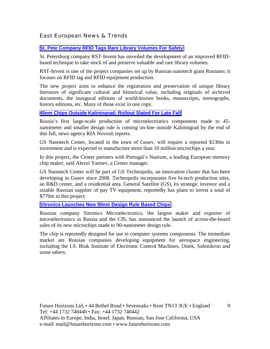#### East European News & Trends

#### **[St. Pete Company RFID Tags Rare Library Volumes For Safety](http://www.marchmontnews.com/Technology-Innovation/North-West/18959-St-Pete-company-RFID-tags-rare-library-volumes-for-safety.html)**

St. Petersburg company RST-Invent has unveiled the development of an improved RFIDbased technique to take stock of and preserve valuable and rare library volumes.

RST-Invent is one of the project companies set up by Russian nanotech giant Rusnano; it focuses on RFID tag and RFID equipment production.

The new project aims to enhance the registration and preservation of unique library literature of significant cultural and historical value, including originals of archived documents, the inaugural editions of world-known books, manuscripts, monographs, history editions, etc. Many of those exist in one copy.

#### **[45nm Chips Outside Kaliningrad; Rollout Slated For Late Fall](http://www.marchmontnews.com/Technology-Innovation/North-West/19023-45nm-chips-outside-Kaliningrad-rollout-slated-for-late-fall.html)**

Russia's first large-scale production of microelectronics components made to 45 nanometer and smaller design rule is coming on-line outside Kaliningrad by the end of this fall, news agency RIA Novosti reports.

GS Nanotech Center, located in the town of Gusev, will require a reported \$130m in investment and is expected to manufacture more than 10 million microchips a year.

In this project, the Center partners with Portugal's Nanium, a leading European memory chip maker, said Alexei Yartsev, a Center manager.

GS Nanotech Center will be part of GS Technopolis, an innovation cluster that has been developing in Gusev since 2008. Technopolis incorporates five hi-tech production sites, an R&D center, and a residential area. General Satellite (GS), its strategic investor and a sizable Russian supplier of pay TV equipment, reportedly has plans to invest a total of \$770m in this project.

#### **[Sitronics Launches New 90nm Design Rule Based Chips](http://www.marchmontnews.com/Technology-Innovation/Central-regions/19019-Sitronics-launches-new-90nm-design-rule-based-chips.html)**

Russian company Sitronics Microelectronics, the largest maker and exporter of microelectronics in Russia and the CIS, has announced the launch of across-the-board sales of its new microchips made to 90-nanometer design rule.

The chip is reportedly designed for use in computer systems components. The immediate market are Russian companies developing equipment for aerospace engineering, including the I.S. Bruk Institute of Electronic Control Machines, Ostek, Submikron and some others.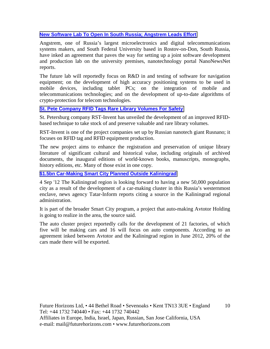#### **[New Software Lab To Open In South Russia; Angstrem Leads Effort](http://www.marchmontnews.com/Technology-Innovation/South-West/18986-New-software-lab-open-South-Russia-Angstrem-leads-effort.html)**

Angstrem, one of Russia's largest microelectronics and digital telecommunications systems makers, and South Federal University based in Rostov-on-Don, South Russia, have inked an agreement that paves the way for setting up a joint software development and production lab on the university premises, nanotechnology portal NanoNewsNet reports.

The future lab will reportedly focus on R&D in and testing of software for navigation equipment; on the development of high accuracy positioning systems to be used in mobile devices, including tablet PCs; on the integration of mobile and telecommunications technologies; and on the development of up-to-date algorithms of crypto-protection for telecom technologies.

#### **[St. Pete Company RFID Tags Rare Library Volumes For Safety](http://www.marchmontnews.com/Technology-Innovation/North-West/18959-St-Pete-company-RFID-tags-rare-library-volumes-for-safety.html)**

St. Petersburg company RST-Invent has unveiled the development of an improved RFIDbased technique to take stock of and preserve valuable and rare library volumes.

RST-Invent is one of the project companies set up by Russian nanotech giant Rusnano; it focuses on RFID tag and RFID equipment production.

The new project aims to enhance the registration and preservation of unique library literature of significant cultural and historical value, including originals of archived documents, the inaugural editions of world-known books, manuscripts, monographs, history editions, etc. Many of those exist in one copy.

#### **[\\$1.5bn Car-Making Smart City Planned Outside Kaliningrad](http://www.marchmontnews.com/Industry-Manufacturing/North-West/18954-15bn-car-making-Smart-City-planned-outside-Kaliningrad.html)**

4 Sep '12 The Kaliningrad region is looking forward to having a new 50,000 population city as a result of the development of a car-making cluster in this Russia's westernmost enclave, news agency Tatar-Inform reports citing a source in the Kaliningrad regional administration.

It is part of the broader Smart City program, a project that auto-making Avtotor Holding is going to realize in the area, the source said.

The auto cluster project reportedly calls for the development of 21 factories, of which five will be making cars and 16 will focus on auto components. According to an agreement inked between Avtotor and the Kaliningrad region in June 2012, 20% of the cars made there will be exported.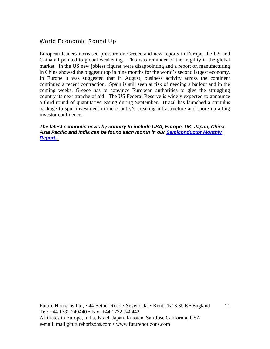#### World Economic Round Up

European leaders increased pressure on Greece and new reports in Europe, the US and China all pointed to global weakening. This was reminder of the fragility in the global market. In the US new jobless figures were disappointing and a report on manufacturing in China showed the biggest drop in nine months for the world's second largest economy. In Europe it was suggested that in August, business activity across the continent continued a recent contraction. Spain is still seen at risk of needing a bailout and in the coming weeks, Greece has to convince European authorities to give the struggling country its next tranche of aid. The US Federal Reserve is widely expected to announce a third round of quantitative easing during September. Brazil has launched a stimulus package to spur investment in the country's creaking infrastructure and shore up ailing investor confidence.

*The latest economic news by country to include USA, Europe, UK, Japan, China, Asia Pacific and India can be found each month in our [Semiconductor Monthly](http://www.futurehorizons.com/page/18/Global-Semiconductor-Report)  [Report.](http://www.futurehorizons.com/page/18/Global-Semiconductor-Report)*